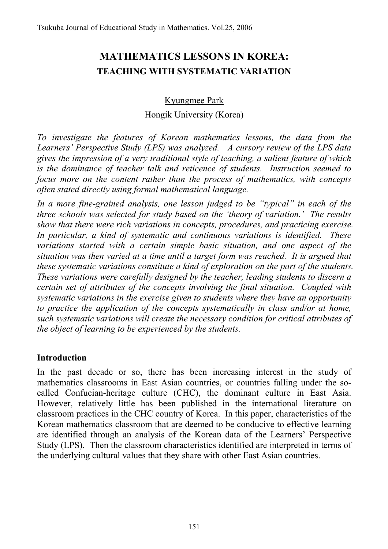# **MATHEMATICS LESSONS IN KOREA: TEACHING WITH SYSTEMATIC VARIATION**

## Kyungmee Park

#### Hongik University (Korea)

*To investigate the features of Korean mathematics lessons, the data from the Learners' Perspective Study (LPS) was analyzed. A cursory review of the LPS data gives the impression of a very traditional style of teaching, a salient feature of which is the dominance of teacher talk and reticence of students. Instruction seemed to focus more on the content rather than the process of mathematics, with concepts often stated directly using formal mathematical language.* 

*In a more fine-grained analysis, one lesson judged to be "typical" in each of the three schools was selected for study based on the 'theory of variation.' The results show that there were rich variations in concepts, procedures, and practicing exercise. In particular, a kind of systematic and continuous variations is identified. These variations started with a certain simple basic situation, and one aspect of the situation was then varied at a time until a target form was reached. It is argued that these systematic variations constitute a kind of exploration on the part of the students. These variations were carefully designed by the teacher, leading students to discern a certain set of attributes of the concepts involving the final situation. Coupled with systematic variations in the exercise given to students where they have an opportunity to practice the application of the concepts systematically in class and/or at home, such systematic variations will create the necessary condition for critical attributes of the object of learning to be experienced by the students.* 

### **Introduction**

In the past decade or so, there has been increasing interest in the study of mathematics classrooms in East Asian countries, or countries falling under the socalled Confucian-heritage culture (CHC), the dominant culture in East Asia. However, relatively little has been published in the international literature on classroom practices in the CHC country of Korea. In this paper, characteristics of the Korean mathematics classroom that are deemed to be conducive to effective learning are identified through an analysis of the Korean data of the Learners' Perspective Study (LPS). Then the classroom characteristics identified are interpreted in terms of the underlying cultural values that they share with other East Asian countries.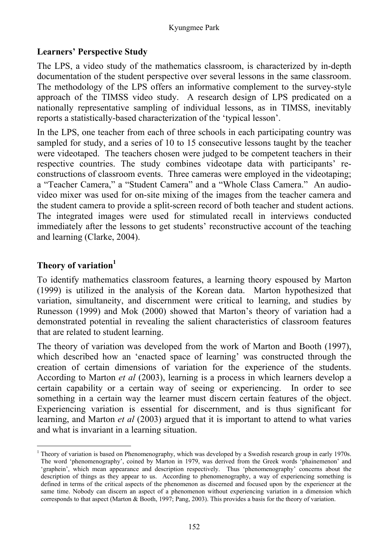### **Learners' Perspective Study**

The LPS, a video study of the mathematics classroom, is characterized by in-depth documentation of the student perspective over several lessons in the same classroom. The methodology of the LPS offers an informative complement to the survey-style approach of the TIMSS video study. A research design of LPS predicated on a nationally representative sampling of individual lessons, as in TIMSS, inevitably reports a statistically-based characterization of the 'typical lesson'.

In the LPS, one teacher from each of three schools in each participating country was sampled for study, and a series of 10 to 15 consecutive lessons taught by the teacher were videotaped. The teachers chosen were judged to be competent teachers in their respective countries. The study combines videotape data with participants' reconstructions of classroom events. Three cameras were employed in the videotaping; a "Teacher Camera," a "Student Camera" and a "Whole Class Camera." An audiovideo mixer was used for on-site mixing of the images from the teacher camera and the student camera to provide a split-screen record of both teacher and student actions. The integrated images were used for stimulated recall in interviews conducted immediately after the lessons to get students' reconstructive account of the teaching and learning (Clarke, 2004).

# **Theory of variation<sup>1</sup>**

To identify mathematics classroom features, a learning theory espoused by Marton (1999) is utilized in the analysis of the Korean data. Marton hypothesized that variation, simultaneity, and discernment were critical to learning, and studies by Runesson (1999) and Mok (2000) showed that Marton's theory of variation had a demonstrated potential in revealing the salient characteristics of classroom features that are related to student learning.

The theory of variation was developed from the work of Marton and Booth (1997), which described how an 'enacted space of learning' was constructed through the creation of certain dimensions of variation for the experience of the students. According to Marton *et al* (2003), learning is a process in which learners develop a certain capability or a certain way of seeing or experiencing. In order to see something in a certain way the learner must discern certain features of the object. Experiencing variation is essential for discernment, and is thus significant for learning, and Marton *et al* (2003) argued that it is important to attend to what varies and what is invariant in a learning situation.

l 1 Theory of variation is based on Phenomenography, which was developed by a Swedish research group in early 1970s. The word 'phenomenography', coined by Marton in 1979, was derived from the Greek words 'phainemenon' and 'graphein', which mean appearance and description respectively. Thus 'phenomenography' concerns about the description of things as they appear to us. According to phenomenography, a way of experiencing something is defined in terms of the critical aspects of the phenomenon as discerned and focused upon by the experiencer at the same time. Nobody can discern an aspect of a phenomenon without experiencing variation in a dimension which corresponds to that aspect (Marton & Booth, 1997; Pang, 2003). This provides a basis for the theory of variation.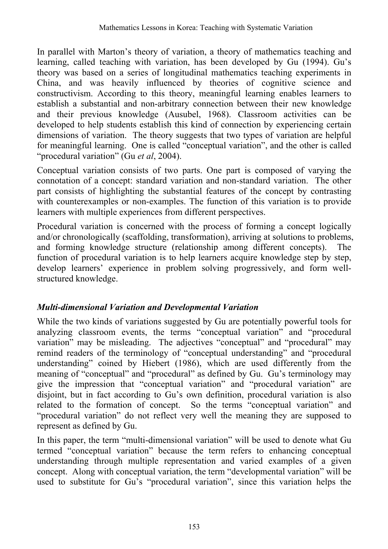In parallel with Marton's theory of variation, a theory of mathematics teaching and learning, called teaching with variation, has been developed by Gu (1994). Gu's theory was based on a series of longitudinal mathematics teaching experiments in China, and was heavily influenced by theories of cognitive science and constructivism. According to this theory, meaningful learning enables learners to establish a substantial and non-arbitrary connection between their new knowledge and their previous knowledge (Ausubel, 1968). Classroom activities can be developed to help students establish this kind of connection by experiencing certain dimensions of variation. The theory suggests that two types of variation are helpful for meaningful learning. One is called "conceptual variation", and the other is called "procedural variation" (Gu *et al*, 2004).

Conceptual variation consists of two parts. One part is composed of varying the connotation of a concept: standard variation and non-standard variation. The other part consists of highlighting the substantial features of the concept by contrasting with counterexamples or non-examples. The function of this variation is to provide learners with multiple experiences from different perspectives.

Procedural variation is concerned with the process of forming a concept logically and/or chronologically (scaffolding, transformation), arriving at solutions to problems, and forming knowledge structure (relationship among different concepts). The function of procedural variation is to help learners acquire knowledge step by step, develop learners' experience in problem solving progressively, and form wellstructured knowledge.

### *Multi-dimensional Variation and Developmental Variation*

While the two kinds of variations suggested by Gu are potentially powerful tools for analyzing classroom events, the terms "conceptual variation" and "procedural variation" may be misleading. The adjectives "conceptual" and "procedural" may remind readers of the terminology of "conceptual understanding" and "procedural understanding" coined by Hiebert (1986), which are used differently from the meaning of "conceptual" and "procedural" as defined by Gu. Gu's terminology may give the impression that "conceptual variation" and "procedural variation" are disjoint, but in fact according to Gu's own definition, procedural variation is also related to the formation of concept. So the terms "conceptual variation" and "procedural variation" do not reflect very well the meaning they are supposed to represent as defined by Gu.

In this paper, the term "multi-dimensional variation" will be used to denote what Gu termed "conceptual variation" because the term refers to enhancing conceptual understanding through multiple representation and varied examples of a given concept. Along with conceptual variation, the term "developmental variation" will be used to substitute for Gu's "procedural variation", since this variation helps the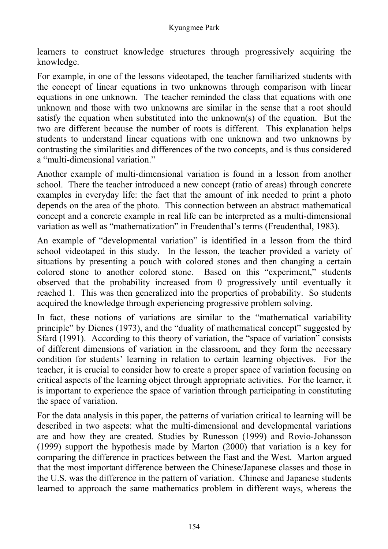learners to construct knowledge structures through progressively acquiring the knowledge.

For example, in one of the lessons videotaped, the teacher familiarized students with the concept of linear equations in two unknowns through comparison with linear equations in one unknown. The teacher reminded the class that equations with one unknown and those with two unknowns are similar in the sense that a root should satisfy the equation when substituted into the unknown(s) of the equation. But the two are different because the number of roots is different. This explanation helps students to understand linear equations with one unknown and two unknowns by contrasting the similarities and differences of the two concepts, and is thus considered a "multi-dimensional variation."

Another example of multi-dimensional variation is found in a lesson from another school. There the teacher introduced a new concept (ratio of areas) through concrete examples in everyday life: the fact that the amount of ink needed to print a photo depends on the area of the photo. This connection between an abstract mathematical concept and a concrete example in real life can be interpreted as a multi-dimensional variation as well as "mathematization" in Freudenthal's terms (Freudenthal, 1983).

An example of "developmental variation" is identified in a lesson from the third school videotaped in this study. In the lesson, the teacher provided a variety of situations by presenting a pouch with colored stones and then changing a certain colored stone to another colored stone. Based on this "experiment," students observed that the probability increased from 0 progressively until eventually it reached 1. This was then generalized into the properties of probability. So students acquired the knowledge through experiencing progressive problem solving.

In fact, these notions of variations are similar to the "mathematical variability principle" by Dienes (1973), and the "duality of mathematical concept" suggested by Sfard (1991). According to this theory of variation, the "space of variation" consists of different dimensions of variation in the classroom, and they form the necessary condition for students' learning in relation to certain learning objectives. For the teacher, it is crucial to consider how to create a proper space of variation focusing on critical aspects of the learning object through appropriate activities. For the learner, it is important to experience the space of variation through participating in constituting the space of variation.

For the data analysis in this paper, the patterns of variation critical to learning will be described in two aspects: what the multi-dimensional and developmental variations are and how they are created. Studies by Runesson (1999) and Rovio-Johansson (1999) support the hypothesis made by Marton (2000) that variation is a key for comparing the difference in practices between the East and the West. Marton argued that the most important difference between the Chinese/Japanese classes and those in the U.S. was the difference in the pattern of variation. Chinese and Japanese students learned to approach the same mathematics problem in different ways, whereas the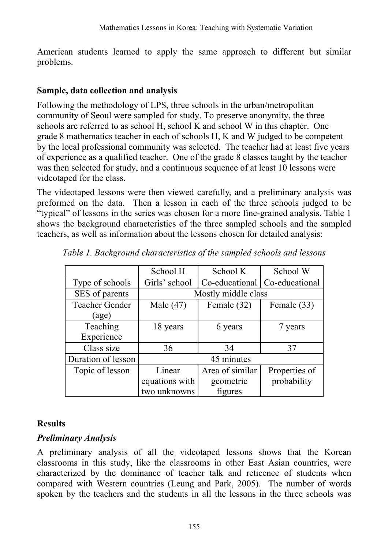American students learned to apply the same approach to different but similar problems.

#### **Sample, data collection and analysis**

Following the methodology of LPS, three schools in the urban/metropolitan community of Seoul were sampled for study. To preserve anonymity, the three schools are referred to as school H, school K and school W in this chapter. One grade 8 mathematics teacher in each of schools H, K and W judged to be competent by the local professional community was selected. The teacher had at least five years of experience as a qualified teacher. One of the grade 8 classes taught by the teacher was then selected for study, and a continuous sequence of at least 10 lessons were videotaped for the class.

The videotaped lessons were then viewed carefully, and a preliminary analysis was preformed on the data. Then a lesson in each of the three schools judged to be "typical" of lessons in the series was chosen for a more fine-grained analysis. Table 1 shows the background characteristics of the three sampled schools and the sampled teachers, as well as information about the lessons chosen for detailed analysis:

|                             | School H            | School K        | School W       |  |  |
|-----------------------------|---------------------|-----------------|----------------|--|--|
| Type of schools             | Girls' school       | Co-educational  | Co-educational |  |  |
| SES of parents              | Mostly middle class |                 |                |  |  |
| <b>Teacher Gender</b>       | Male $(47)$         | Female (32)     | Female (33)    |  |  |
| $\left( \text{age} \right)$ |                     |                 |                |  |  |
| Teaching                    | 18 years            | 6 years         | 7 years        |  |  |
| Experience                  |                     |                 |                |  |  |
| Class size                  | 36                  | 34              | 37             |  |  |
| Duration of lesson          | 45 minutes          |                 |                |  |  |
| Topic of lesson             | Linear              | Area of similar | Properties of  |  |  |
|                             | equations with      | geometric       | probability    |  |  |
|                             | two unknowns        | figures         |                |  |  |

*Table 1. Background characteristics of the sampled schools and lessons* 

### **Results**

### *Preliminary Analysis*

A preliminary analysis of all the videotaped lessons shows that the Korean classrooms in this study, like the classrooms in other East Asian countries, were characterized by the dominance of teacher talk and reticence of students when compared with Western countries (Leung and Park, 2005). The number of words spoken by the teachers and the students in all the lessons in the three schools was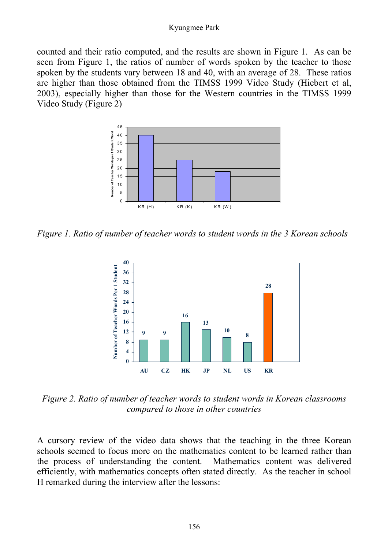#### Kyungmee Park

counted and their ratio computed, and the results are shown in Figure 1. As can be seen from Figure 1, the ratios of number of words spoken by the teacher to those spoken by the students vary between 18 and 40, with an average of 28. These ratios are higher than those obtained from the TIMSS 1999 Video Study (Hiebert et al, 2003), especially higher than those for the Western countries in the TIMSS 1999 Video Study (Figure 2)



*Figure 1. Ratio of number of teacher words to student words in the 3 Korean schools* 



*Figure 2. Ratio of number of teacher words to student words in Korean classrooms compared to those in other countries* 

A cursory review of the video data shows that the teaching in the three Korean schools seemed to focus more on the mathematics content to be learned rather than the process of understanding the content. Mathematics content was delivered efficiently, with mathematics concepts often stated directly. As the teacher in school H remarked during the interview after the lessons: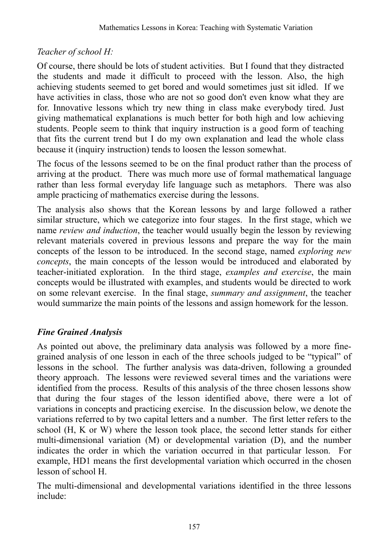# *Teacher of school H:*

Of course, there should be lots of student activities. But I found that they distracted the students and made it difficult to proceed with the lesson. Also, the high achieving students seemed to get bored and would sometimes just sit idled. If we have activities in class, those who are not so good don't even know what they are for. Innovative lessons which try new thing in class make everybody tired. Just giving mathematical explanations is much better for both high and low achieving students. People seem to think that inquiry instruction is a good form of teaching that fits the current trend but I do my own explanation and lead the whole class because it (inquiry instruction) tends to loosen the lesson somewhat.

The focus of the lessons seemed to be on the final product rather than the process of arriving at the product. There was much more use of formal mathematical language rather than less formal everyday life language such as metaphors. There was also ample practicing of mathematics exercise during the lessons.

The analysis also shows that the Korean lessons by and large followed a rather similar structure, which we categorize into four stages. In the first stage, which we name *review and induction*, the teacher would usually begin the lesson by reviewing relevant materials covered in previous lessons and prepare the way for the main concepts of the lesson to be introduced. In the second stage, named *exploring new concepts*, the main concepts of the lesson would be introduced and elaborated by teacher-initiated exploration. In the third stage, *examples and exercise*, the main concepts would be illustrated with examples, and students would be directed to work on some relevant exercise. In the final stage, *summary and assignment*, the teacher would summarize the main points of the lessons and assign homework for the lesson.

# *Fine Grained Analysis*

As pointed out above, the preliminary data analysis was followed by a more finegrained analysis of one lesson in each of the three schools judged to be "typical" of lessons in the school. The further analysis was data-driven, following a grounded theory approach. The lessons were reviewed several times and the variations were identified from the process. Results of this analysis of the three chosen lessons show that during the four stages of the lesson identified above, there were a lot of variations in concepts and practicing exercise. In the discussion below, we denote the variations referred to by two capital letters and a number. The first letter refers to the school (H, K or W) where the lesson took place, the second letter stands for either multi-dimensional variation (M) or developmental variation (D), and the number indicates the order in which the variation occurred in that particular lesson. For example, HD1 means the first developmental variation which occurred in the chosen lesson of school H.

The multi-dimensional and developmental variations identified in the three lessons include: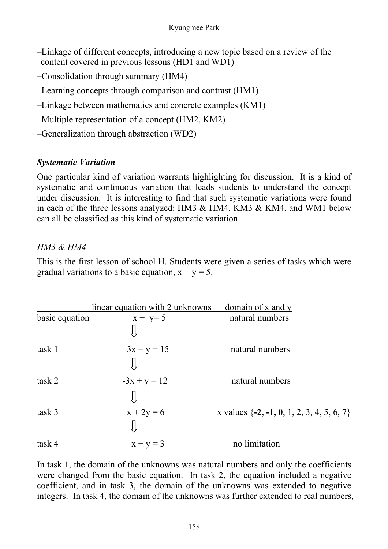- –Linkage of different concepts, introducing a new topic based on a review of the content covered in previous lessons (HD1 and WD1)
- –Consolidation through summary (HM4)
- –Learning concepts through comparison and contrast (HM1)
- –Linkage between mathematics and concrete examples (KM1)
- –Multiple representation of a concept (HM2, KM2)
- –Generalization through abstraction (WD2)

# *Systematic Variation*

One particular kind of variation warrants highlighting for discussion. It is a kind of systematic and continuous variation that leads students to understand the concept under discussion. It is interesting to find that such systematic variations were found in each of the three lessons analyzed: HM3 & HM4, KM3 & KM4, and WM1 below can all be classified as this kind of systematic variation.

### *HM3 & HM4*

This is the first lesson of school H. Students were given a series of tasks which were gradual variations to a basic equation,  $x + y = 5$ .

|                | linear equation with 2 unknowns | domain of x and $y$                           |
|----------------|---------------------------------|-----------------------------------------------|
| basic equation | $x + y = 5$                     | natural numbers                               |
|                |                                 |                                               |
| task 1         | $3x + y = 15$                   | natural numbers                               |
|                |                                 |                                               |
| task 2         | $-3x + y = 12$                  | natural numbers                               |
|                |                                 |                                               |
| task 3         | $x + 2y = 6$                    | x values $\{-2, -1, 0, 1, 2, 3, 4, 5, 6, 7\}$ |
|                |                                 |                                               |
| task 4         | $x + y = 3$                     | no limitation                                 |

In task 1, the domain of the unknowns was natural numbers and only the coefficients were changed from the basic equation. In task 2, the equation included a negative coefficient, and in task 3, the domain of the unknowns was extended to negative integers. In task 4, the domain of the unknowns was further extended to real numbers,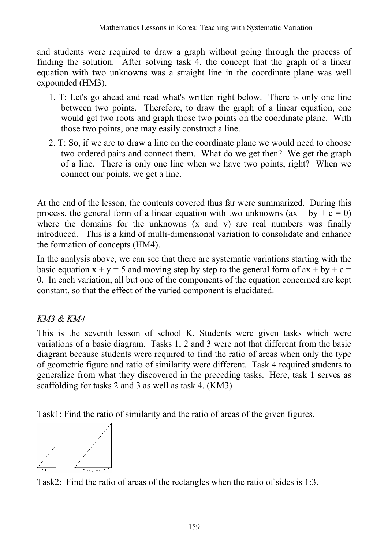and students were required to draw a graph without going through the process of finding the solution. After solving task 4, the concept that the graph of a linear equation with two unknowns was a straight line in the coordinate plane was well expounded (HM3).

- 1. T: Let's go ahead and read what's written right below. There is only one line between two points. Therefore, to draw the graph of a linear equation, one would get two roots and graph those two points on the coordinate plane. With those two points, one may easily construct a line.
- 2. T: So, if we are to draw a line on the coordinate plane we would need to choose two ordered pairs and connect them. What do we get then? We get the graph of a line. There is only one line when we have two points, right? When we connect our points, we get a line.

At the end of the lesson, the contents covered thus far were summarized. During this process, the general form of a linear equation with two unknowns  $(ax + by + c = 0)$ where the domains for the unknowns (x and y) are real numbers was finally introduced. This is a kind of multi-dimensional variation to consolidate and enhance the formation of concepts (HM4).

In the analysis above, we can see that there are systematic variations starting with the basic equation  $x + y = 5$  and moving step by step to the general form of  $ax + by + c = 5$ 0. In each variation, all but one of the components of the equation concerned are kept constant, so that the effect of the varied component is elucidated.

# *KM3 & KM4*

This is the seventh lesson of school K. Students were given tasks which were variations of a basic diagram. Tasks 1, 2 and 3 were not that different from the basic diagram because students were required to find the ratio of areas when only the type of geometric figure and ratio of similarity were different. Task 4 required students to generalize from what they discovered in the preceding tasks. Here, task 1 serves as scaffolding for tasks 2 and 3 as well as task 4. (KM3)

Task1: Find the ratio of similarity and the ratio of areas of the given figures.



Task2: Find the ratio of areas of the rectangles when the ratio of sides is 1:3.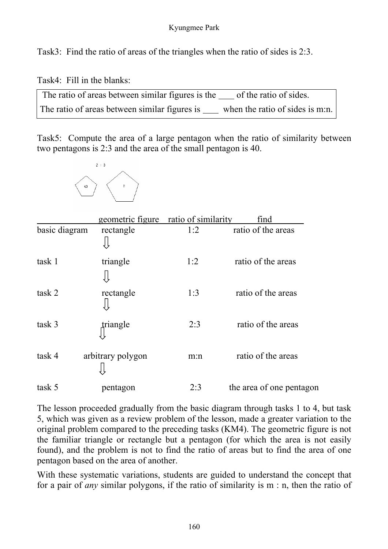Task3: Find the ratio of areas of the triangles when the ratio of sides is 2:3.

Task4: Fill in the blanks:

The ratio of areas between similar figures is the of the ratio of sides. The ratio of areas between similar figures is  $\frac{1}{1}$  when the ratio of sides is m:n.

Task5: Compute the area of a large pentagon when the ratio of similarity between two pentagons is 2:3 and the area of the small pentagon is 40.



|               | geometric figure  | ratio of similarity | find                     |
|---------------|-------------------|---------------------|--------------------------|
| basic diagram | rectangle         | 1:2                 | ratio of the areas       |
| task 1        | triangle          | 1:2                 | ratio of the areas       |
| task 2        | rectangle         | 1:3                 | ratio of the areas       |
| task 3        | triangle          | 2:3                 | ratio of the areas       |
| task 4        | arbitrary polygon | m:n                 | ratio of the areas       |
| task 5        | pentagon          | 2:3                 | the area of one pentagon |

The lesson proceeded gradually from the basic diagram through tasks 1 to 4, but task 5, which was given as a review problem of the lesson, made a greater variation to the original problem compared to the preceding tasks (KM4). The geometric figure is not the familiar triangle or rectangle but a pentagon (for which the area is not easily found), and the problem is not to find the ratio of areas but to find the area of one pentagon based on the area of another.

With these systematic variations, students are guided to understand the concept that for a pair of *any* similar polygons, if the ratio of similarity is m : n, then the ratio of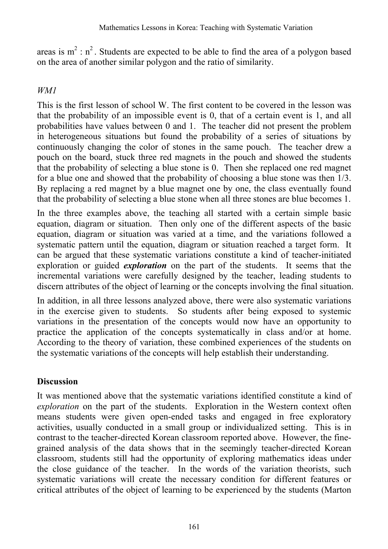areas is  $m^2 : n^2$ . Students are expected to be able to find the area of a polygon based on the area of another similar polygon and the ratio of similarity.

#### *WM1*

This is the first lesson of school W. The first content to be covered in the lesson was that the probability of an impossible event is 0, that of a certain event is 1, and all probabilities have values between 0 and 1. The teacher did not present the problem in heterogeneous situations but found the probability of a series of situations by continuously changing the color of stones in the same pouch. The teacher drew a pouch on the board, stuck three red magnets in the pouch and showed the students that the probability of selecting a blue stone is 0. Then she replaced one red magnet for a blue one and showed that the probability of choosing a blue stone was then 1/3. By replacing a red magnet by a blue magnet one by one, the class eventually found that the probability of selecting a blue stone when all three stones are blue becomes 1.

In the three examples above, the teaching all started with a certain simple basic equation, diagram or situation. Then only one of the different aspects of the basic equation, diagram or situation was varied at a time, and the variations followed a systematic pattern until the equation, diagram or situation reached a target form. It can be argued that these systematic variations constitute a kind of teacher-initiated exploration or guided *exploration* on the part of the students. It seems that the incremental variations were carefully designed by the teacher, leading students to discern attributes of the object of learning or the concepts involving the final situation.

In addition, in all three lessons analyzed above, there were also systematic variations in the exercise given to students. So students after being exposed to systemic variations in the presentation of the concepts would now have an opportunity to practice the application of the concepts systematically in class and/or at home. According to the theory of variation, these combined experiences of the students on the systematic variations of the concepts will help establish their understanding.

#### **Discussion**

It was mentioned above that the systematic variations identified constitute a kind of *exploration* on the part of the students. Exploration in the Western context often means students were given open-ended tasks and engaged in free exploratory activities, usually conducted in a small group or individualized setting. This is in contrast to the teacher-directed Korean classroom reported above. However, the finegrained analysis of the data shows that in the seemingly teacher-directed Korean classroom, students still had the opportunity of exploring mathematics ideas under the close guidance of the teacher. In the words of the variation theorists, such systematic variations will create the necessary condition for different features or critical attributes of the object of learning to be experienced by the students (Marton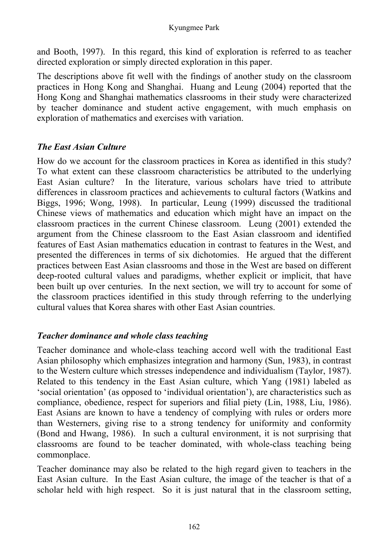#### Kyungmee Park

and Booth, 1997). In this regard, this kind of exploration is referred to as teacher directed exploration or simply directed exploration in this paper.

The descriptions above fit well with the findings of another study on the classroom practices in Hong Kong and Shanghai. Huang and Leung (2004) reported that the Hong Kong and Shanghai mathematics classrooms in their study were characterized by teacher dominance and student active engagement, with much emphasis on exploration of mathematics and exercises with variation.

#### *The East Asian Culture*

How do we account for the classroom practices in Korea as identified in this study? To what extent can these classroom characteristics be attributed to the underlying East Asian culture? In the literature, various scholars have tried to attribute differences in classroom practices and achievements to cultural factors (Watkins and Biggs, 1996; Wong, 1998). In particular, Leung (1999) discussed the traditional Chinese views of mathematics and education which might have an impact on the classroom practices in the current Chinese classroom. Leung (2001) extended the argument from the Chinese classroom to the East Asian classroom and identified features of East Asian mathematics education in contrast to features in the West, and presented the differences in terms of six dichotomies. He argued that the different practices between East Asian classrooms and those in the West are based on different deep-rooted cultural values and paradigms, whether explicit or implicit, that have been built up over centuries. In the next section, we will try to account for some of the classroom practices identified in this study through referring to the underlying cultural values that Korea shares with other East Asian countries.

### *Teacher dominance and whole class teaching*

Teacher dominance and whole-class teaching accord well with the traditional East Asian philosophy which emphasizes integration and harmony (Sun, 1983), in contrast to the Western culture which stresses independence and individualism (Taylor, 1987). Related to this tendency in the East Asian culture, which Yang (1981) labeled as 'social orientation' (as opposed to 'individual orientation'), are characteristics such as compliance, obedience, respect for superiors and filial piety (Lin, 1988, Liu, 1986). East Asians are known to have a tendency of complying with rules or orders more than Westerners, giving rise to a strong tendency for uniformity and conformity (Bond and Hwang, 1986). In such a cultural environment, it is not surprising that classrooms are found to be teacher dominated, with whole-class teaching being commonplace.

Teacher dominance may also be related to the high regard given to teachers in the East Asian culture. In the East Asian culture, the image of the teacher is that of a scholar held with high respect. So it is just natural that in the classroom setting,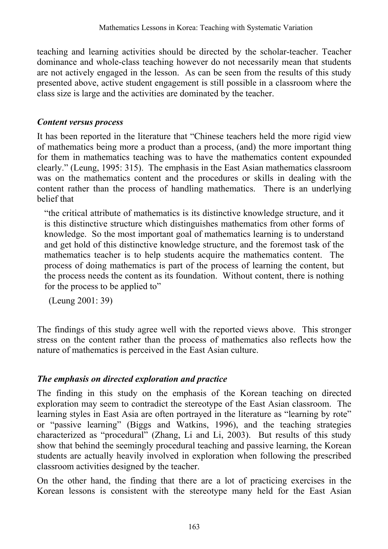teaching and learning activities should be directed by the scholar-teacher. Teacher dominance and whole-class teaching however do not necessarily mean that students are not actively engaged in the lesson. As can be seen from the results of this study presented above, active student engagement is still possible in a classroom where the class size is large and the activities are dominated by the teacher.

#### *Content versus process*

It has been reported in the literature that "Chinese teachers held the more rigid view of mathematics being more a product than a process, (and) the more important thing for them in mathematics teaching was to have the mathematics content expounded clearly." (Leung, 1995: 315). The emphasis in the East Asian mathematics classroom was on the mathematics content and the procedures or skills in dealing with the content rather than the process of handling mathematics. There is an underlying belief that

"the critical attribute of mathematics is its distinctive knowledge structure, and it is this distinctive structure which distinguishes mathematics from other forms of knowledge. So the most important goal of mathematics learning is to understand and get hold of this distinctive knowledge structure, and the foremost task of the mathematics teacher is to help students acquire the mathematics content. The process of doing mathematics is part of the process of learning the content, but the process needs the content as its foundation. Without content, there is nothing for the process to be applied to"

(Leung 2001: 39)

The findings of this study agree well with the reported views above. This stronger stress on the content rather than the process of mathematics also reflects how the nature of mathematics is perceived in the East Asian culture.

# *The emphasis on directed exploration and practice*

The finding in this study on the emphasis of the Korean teaching on directed exploration may seem to contradict the stereotype of the East Asian classroom. The learning styles in East Asia are often portrayed in the literature as "learning by rote" or "passive learning" (Biggs and Watkins, 1996), and the teaching strategies characterized as "procedural" (Zhang, Li and Li, 2003). But results of this study show that behind the seemingly procedural teaching and passive learning, the Korean students are actually heavily involved in exploration when following the prescribed classroom activities designed by the teacher.

On the other hand, the finding that there are a lot of practicing exercises in the Korean lessons is consistent with the stereotype many held for the East Asian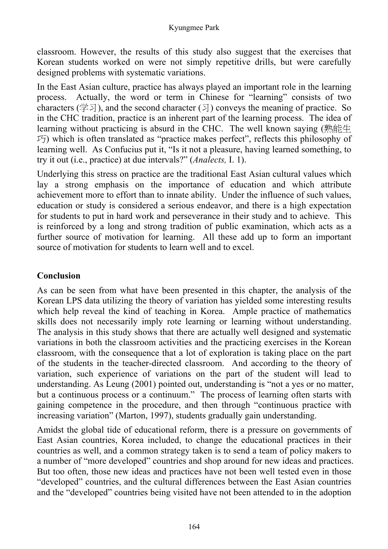classroom. However, the results of this study also suggest that the exercises that Korean students worked on were not simply repetitive drills, but were carefully designed problems with systematic variations.

In the East Asian culture, practice has always played an important role in the learning process. Actually, the word or term in Chinese for "learning" consists of two characters ( $\cong$   $\geq$ ), and the second character ( $\geq$ ) conveys the meaning of practice. So in the CHC tradition, practice is an inherent part of the learning process. The idea of learning without practicing is absurd in the CHC. The well known saying (熟能生  $\mathcal{F}$ ) which is often translated as "practice makes perfect", reflects this philosophy of learning well. As Confucius put it, "Is it not a pleasure, having learned something, to try it out (i.e., practice) at due intervals?" (*Analects,* I. 1).

Underlying this stress on practice are the traditional East Asian cultural values which lay a strong emphasis on the importance of education and which attribute achievement more to effort than to innate ability. Under the influence of such values, education or study is considered a serious endeavor, and there is a high expectation for students to put in hard work and perseverance in their study and to achieve. This is reinforced by a long and strong tradition of public examination, which acts as a further source of motivation for learning. All these add up to form an important source of motivation for students to learn well and to excel.

### **Conclusion**

As can be seen from what have been presented in this chapter, the analysis of the Korean LPS data utilizing the theory of variation has yielded some interesting results which help reveal the kind of teaching in Korea. Ample practice of mathematics skills does not necessarily imply rote learning or learning without understanding. The analysis in this study shows that there are actually well designed and systematic variations in both the classroom activities and the practicing exercises in the Korean classroom, with the consequence that a lot of exploration is taking place on the part of the students in the teacher-directed classroom. And according to the theory of variation, such experience of variations on the part of the student will lead to understanding. As Leung (2001) pointed out, understanding is "not a yes or no matter, but a continuous process or a continuum." The process of learning often starts with gaining competence in the procedure, and then through "continuous practice with increasing variation" (Marton, 1997), students gradually gain understanding.

Amidst the global tide of educational reform, there is a pressure on governments of East Asian countries, Korea included, to change the educational practices in their countries as well, and a common strategy taken is to send a team of policy makers to a number of "more developed" countries and shop around for new ideas and practices. But too often, those new ideas and practices have not been well tested even in those "developed" countries, and the cultural differences between the East Asian countries and the "developed" countries being visited have not been attended to in the adoption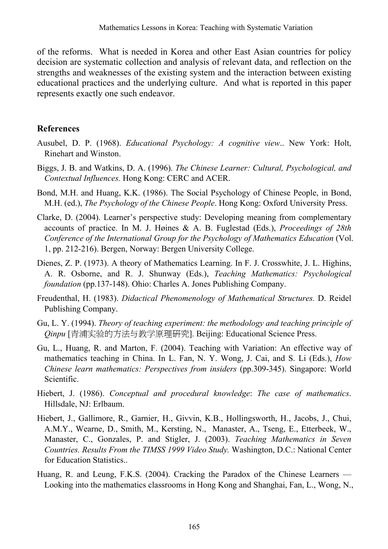of the reforms. What is needed in Korea and other East Asian countries for policy decision are systematic collection and analysis of relevant data, and reflection on the strengths and weaknesses of the existing system and the interaction between existing educational practices and the underlying culture. And what is reported in this paper represents exactly one such endeavor.

#### **References**

- Ausubel, D. P. (1968). *Educational Psychology: A cognitive view*.. New York: Holt, Rinehart and Winston.
- Biggs, J. B. and Watkins, D. A. (1996). *The Chinese Learner: Cultural, Psychological, and Contextual Influences.* Hong Kong: CERC and ACER.
- Bond, M.H. and Huang, K.K. (1986). The Social Psychology of Chinese People, in Bond, M.H. (ed.), *The Psychology of the Chinese People*. Hong Kong: Oxford University Press.
- Clarke, D. (2004). Learner's perspective study: Developing meaning from complementary accounts of practice. In M. J. Høines & A. B. Fuglestad (Eds.), *Proceedings of 28th Conference of the International Group for the Psychology of Mathematics Education* (Vol. 1, pp. 212-216). Bergen, Norway: Bergen University College.
- Dienes, Z. P. (1973). A theory of Mathematics Learning. In F. J. Crosswhite, J. L. Highins, A. R. Osborne, and R. J. Shunway (Eds.), *Teaching Mathematics: Psychological foundation* (pp.137-148). Ohio: Charles A. Jones Publishing Company.
- Freudenthal, H. (1983). *Didactical Phenomenology of Mathematical Structures.* D. Reidel Publishing Company.
- Gu, L. Y. (1994). *Theory of teaching experiment: the methodology and teaching principle of Qinpu* [青浦实验的方法与教学原理研究]. Beijing: Educational Science Press.
- Gu, L., Huang, R. and Marton, F. (2004). Teaching with Variation: An effective way of mathematics teaching in China. In L. Fan, N. Y. Wong, J. Cai, and S. Li (Eds.), *How Chinese learn mathematics: Perspectives from insiders (pp.309-345). Singapore: World* Scientific.
- Hiebert, J. (1986). *Conceptual and procedural knowledge*: *The case of mathematics*. Hillsdale, NJ: Erlbaum.
- Hiebert, J., Gallimore, R., Garnier, H., Givvin, K.B., Hollingsworth, H., Jacobs, J., Chui, A.M.Y., Wearne, D., Smith, M., Kersting, N., Manaster, A., Tseng, E., Etterbeek, W., Manaster, C., Gonzales, P. and Stigler, J. (2003). *Teaching Mathematics in Seven Countries. Results From the TIMSS 1999 Video Study.* Washington, D.C.: National Center for Education Statistics..
- Huang, R. and Leung, F.K.S. (2004). Cracking the Paradox of the Chinese Learners Looking into the mathematics classrooms in Hong Kong and Shanghai, Fan, L., Wong, N.,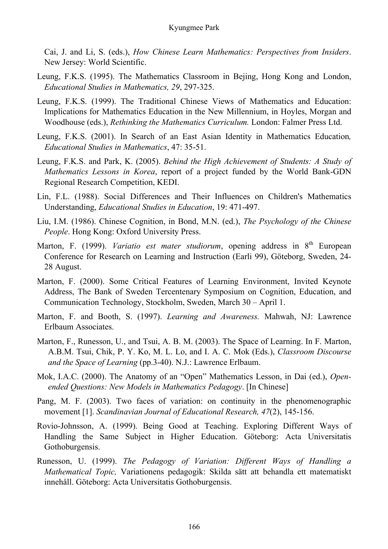#### Kyungmee Park

Cai, J. and Li, S. (eds.), *How Chinese Learn Mathematics: Perspectives from Insiders*. New Jersey: World Scientific.

- Leung, F.K.S. (1995). The Mathematics Classroom in Bejing, Hong Kong and London, *Educational Studies in Mathematics, 29*, 297-325.
- Leung, F.K.S. (1999). The Traditional Chinese Views of Mathematics and Education: Implications for Mathematics Education in the New Millennium, in Hoyles, Morgan and Woodhouse (eds.), *Rethinking the Mathematics Curriculum.* London: Falmer Press Ltd.
- Leung, F.K.S. (2001). In Search of an East Asian Identity in Mathematics Education*, Educational Studies in Mathematics*, 47: 35-51.
- Leung, F.K.S. and Park, K. (2005). *Behind the High Achievement of Students: A Study of Mathematics Lessons in Korea*, report of a project funded by the World Bank-GDN Regional Research Competition, KEDI.
- Lin, F.L. (1988). Social Differences and Their Influences on Children's Mathematics Understanding, *Educational Studies in Education*, 19: 471-497.
- Liu, I.M. (1986). Chinese Cognition, in Bond, M.N. (ed.), *The Psychology of the Chinese People*. Hong Kong: Oxford University Press.
- Marton, F. (1999). *Variatio est mater studiorum*, opening address in 8<sup>th</sup> European Conference for Research on Learning and Instruction (Earli 99), Göteborg, Sweden, 24- 28 August.
- Marton, F. (2000). Some Critical Features of Learning Environment, Invited Keynote Address, The Bank of Sweden Tercentenary Symposium on Cognition, Education, and Communication Technology, Stockholm, Sweden, March 30 – April 1.
- Marton, F. and Booth, S. (1997). *Learning and Awareness.* Mahwah, NJ: Lawrence Erlbaum Associates.
- Marton, F., Runesson, U., and Tsui, A. B. M. (2003). The Space of Learning. In F. Marton, A.B.M. Tsui, Chik, P. Y. Ko, M. L. Lo, and I. A. C. Mok (Eds.), *Classroom Discourse and the Space of Learning* (pp.3-40). N.J.: Lawrence Erlbaum.
- Mok, I.A.C. (2000). The Anatomy of an "Open" Mathematics Lesson, in Dai (ed.), *Openended Questions: New Models in Mathematics Pedagogy*. [In Chinese]
- Pang, M. F. (2003). Two faces of variation: on continuity in the phenomenographic movement [1]. *Scandinavian Journal of Educational Research, 47*(2), 145-156.
- Rovio-Johnsson, A. (1999). Being Good at Teaching. Exploring Different Ways of Handling the Same Subject in Higher Education. Göteborg: Acta Universitatis Gothoburgensis.
- Runesson, U. (1999). *The Pedagogy of Variation: Different Ways of Handling a Mathematical Topic,* Variationens pedagogik: Skilda sätt att behandla ett matematiskt innehåll. Göteborg: Acta Universitatis Gothoburgensis.